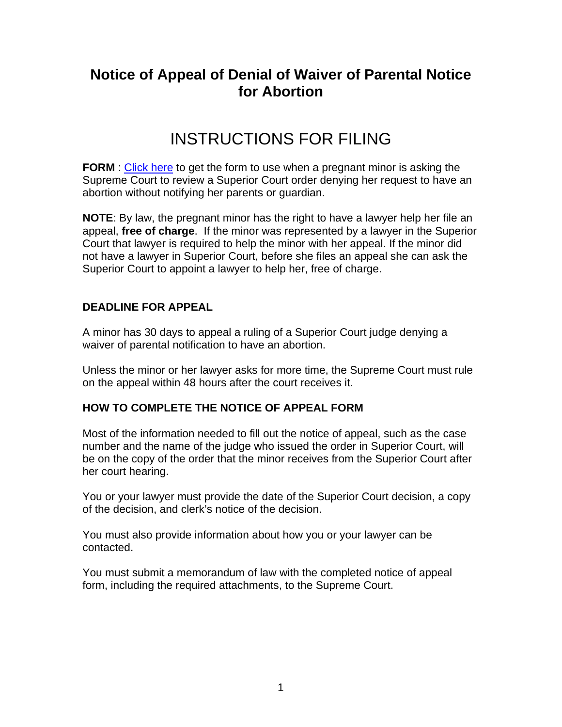# **Notice of Appeal of Denial of Waiver of Parental Notice for Abortion**

# INSTRUCTIONS FOR FILING

**FORM**: [Click here](http://www.courts.state.nh.us/forms/nhjb-2746-sup.pdf) to get the form to use when a pregnant minor is asking the Supreme Court to review a Superior Court order denying her request to have an abortion without notifying her parents or guardian.

**NOTE**: By law, the pregnant minor has the right to have a lawyer help her file an appeal, **free of charge**. If the minor was represented by a lawyer in the Superior Court that lawyer is required to help the minor with her appeal. If the minor did not have a lawyer in Superior Court, before she files an appeal she can ask the Superior Court to appoint a lawyer to help her, free of charge.

#### **DEADLINE FOR APPEAL**

A minor has 30 days to appeal a ruling of a Superior Court judge denying a waiver of parental notification to have an abortion.

Unless the minor or her lawyer asks for more time, the Supreme Court must rule on the appeal within 48 hours after the court receives it.

#### **HOW TO COMPLETE THE NOTICE OF APPEAL FORM**

Most of the information needed to fill out the notice of appeal, such as the case number and the name of the judge who issued the order in Superior Court, will be on the copy of the order that the minor receives from the Superior Court after her court hearing.

You or your lawyer must provide the date of the Superior Court decision, a copy of the decision, and clerk's notice of the decision.

You must also provide information about how you or your lawyer can be contacted.

You must submit a memorandum of law with the completed notice of appeal form, including the required attachments, to the Supreme Court.